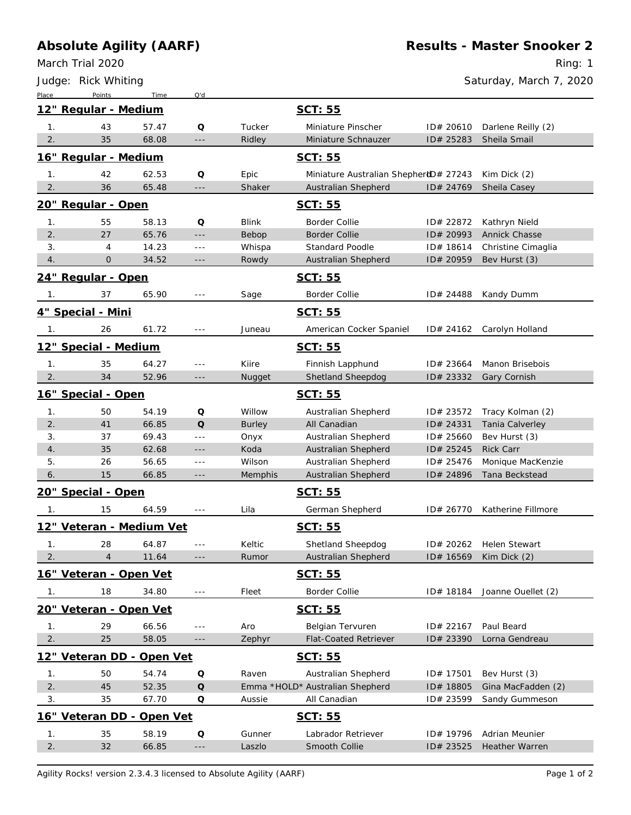## **Absolute Agility (AARF)**

*Place Points Time Q'd*

March Trial 2020

*Judge: Rick Whiting*

Ring: 1

*Saturday, March 7, 2020*

| 12" Regular - Medium                 |                                  |       |                      |               | SCT: 55                               |           |                      |  |  |
|--------------------------------------|----------------------------------|-------|----------------------|---------------|---------------------------------------|-----------|----------------------|--|--|
| 1.                                   | 43                               | 57.47 | Q                    | Tucker        | Miniature Pinscher                    | ID# 20610 | Darlene Reilly (2)   |  |  |
| 2.                                   | 35                               | 68.08 | $- - -$              | Ridley        | Miniature Schnauzer                   | ID# 25283 | Sheila Smail         |  |  |
| 16" Regular - Medium<br>SCT: 55      |                                  |       |                      |               |                                       |           |                      |  |  |
| 1.                                   | 42                               | 62.53 | Q                    | Epic          | Miniature Australian ShepherdD# 27243 |           | Kim Dick (2)         |  |  |
| 2.                                   | 36                               | 65.48 | $- - -$              | Shaker        | Australian Shepherd                   | ID# 24769 | Sheila Casey         |  |  |
|                                      | 20" Regular - Open               |       |                      |               | SCT: 55                               |           |                      |  |  |
| 1.                                   | 55                               | 58.13 | Q                    | Blink         | <b>Border Collie</b>                  | ID# 22872 | Kathryn Nield        |  |  |
| 2.                                   | 27                               | 65.76 | $- - -$              | Bebop         | <b>Border Collie</b>                  | ID# 20993 | <b>Annick Chasse</b> |  |  |
| 3.                                   | $\overline{4}$                   | 14.23 | $\sim$ $\sim$ $\sim$ | Whispa        | <b>Standard Poodle</b>                | ID# 18614 | Christine Cimaglia   |  |  |
| 4.                                   | $\mathbf{O}$                     | 34.52 | $---$                | Rowdy         | Australian Shepherd                   | ID# 20959 | Bev Hurst (3)        |  |  |
| 24" Regular - Open<br>SCT: 55        |                                  |       |                      |               |                                       |           |                      |  |  |
| 1.                                   | 37                               | 65.90 | $- - -$              | Sage          | Border Collie                         | ID# 24488 | Kandy Dumm           |  |  |
|                                      | 4" Special - Mini                |       |                      |               | SCT: 55                               |           |                      |  |  |
| $\mathbf{1}$ .                       | 26                               | 61.72 | $- - -$              | Juneau        | American Cocker Spaniel               | ID# 24162 | Carolyn Holland      |  |  |
| 12" Special - Medium<br>SCT: 55      |                                  |       |                      |               |                                       |           |                      |  |  |
| 1.                                   | 35                               | 64.27 | $- - -$              | Kiire         | Finnish Lapphund                      | ID# 23664 | Manon Brisebois      |  |  |
| 2.                                   | 34                               | 52.96 | $---$                | Nugget        | Shetland Sheepdog                     | ID# 23332 | Gary Cornish         |  |  |
|                                      | 16" Special - Open               |       |                      |               | SCT: 55                               |           |                      |  |  |
| 1.                                   | 50                               | 54.19 | Q                    | Willow        | Australian Shepherd                   | ID# 23572 | Tracy Kolman (2)     |  |  |
| 2.                                   | 41                               | 66.85 | $\mathsf O$          | <b>Burley</b> | All Canadian                          | ID# 24331 | Tania Calverley      |  |  |
| 3.                                   | 37                               | 69.43 | ---                  | Onyx          | Australian Shepherd                   | ID# 25660 | Bev Hurst (3)        |  |  |
| 4.                                   | 35                               | 62.68 | $---$                | Koda          | Australian Shepherd                   | ID# 25245 | <b>Rick Carr</b>     |  |  |
| 5.                                   | 26                               | 56.65 | $\sim$ $\sim$ $\sim$ | Wilson        | Australian Shepherd                   | ID# 25476 | Monique MacKenzie    |  |  |
| 6.                                   | 15                               | 66.85 | $---$                | Memphis       | Australian Shepherd                   | ID# 24896 | Tana Beckstead       |  |  |
|                                      | <u> 20" Special - Open</u>       |       |                      |               | SCT: 55                               |           |                      |  |  |
| 1.                                   | 15                               | 64.59 | $\sim$ $\sim$ $\sim$ | Lila          | German Shepherd                       | ID# 26770 | Katherine Fillmore   |  |  |
|                                      | <u> 12" Veteran - Medium Vet</u> |       |                      |               | SCT: 55                               |           |                      |  |  |
| 1.                                   | 28                               | 64.87 | $- - -$              | Keltic        | Shetland Sheepdog                     | ID# 20262 | <b>Helen Stewart</b> |  |  |
| 2.                                   | $\overline{4}$                   | 11.64 | $---$                | Rumor         | Australian Shepherd                   | ID# 16569 | Kim Dick (2)         |  |  |
| 16" Veteran - Open Vet<br>SCT: 55    |                                  |       |                      |               |                                       |           |                      |  |  |
| $\overline{1}$ .                     | 18                               | 34.80 | $\sim$ $ \sim$       | Fleet         | <b>Border Collie</b>                  | ID# 18184 | Joanne Ouellet (2)   |  |  |
|                                      | 20" Veteran - Open Vet           |       |                      |               | SCT: 55                               |           |                      |  |  |
| 1 <sub>1</sub>                       | 29                               | 66.56 | $\sim$ $\sim$ $\sim$ | Aro           | Belgian Tervuren                      | ID# 22167 | Paul Beard           |  |  |
| 2.                                   | 25                               | 58.05 | $- - -$              | Zephyr        | <b>Flat-Coated Retriever</b>          | ID# 23390 | Lorna Gendreau       |  |  |
|                                      | 12" Veteran DD - Open Vet        |       |                      |               | SCT: 55                               |           |                      |  |  |
| 1 <sub>1</sub>                       | 50                               | 54.74 | Q                    | Raven         | Australian Shepherd                   | ID# 17501 | Bev Hurst (3)        |  |  |
| 2.                                   | 45                               | 52.35 | $\mathsf O$          |               | Emma *HOLD* Australian Shepherd       | ID# 18805 | Gina MacFadden (2)   |  |  |
| 3.                                   | 35                               | 67.70 | Q                    | Aussie        | All Canadian                          | ID# 23599 | Sandy Gummeson       |  |  |
| 16" Veteran DD - Open Vet<br>SCT: 55 |                                  |       |                      |               |                                       |           |                      |  |  |
| 1.                                   | 35                               | 58.19 | Q                    | Gunner        | Labrador Retriever                    | ID# 19796 | Adrian Meunier       |  |  |
| 2.                                   | 32                               | 66.85 | ---                  | Laszlo        | Smooth Collie                         | ID# 23525 | Heather Warren       |  |  |